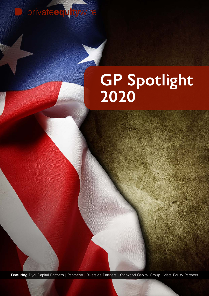privateedytywire

## **GP Spotlight 2020**

Featuring Dyal Capital Partners | Pantheon | Riverside Partners | Starwood Capital Group | Vista Equity Partners